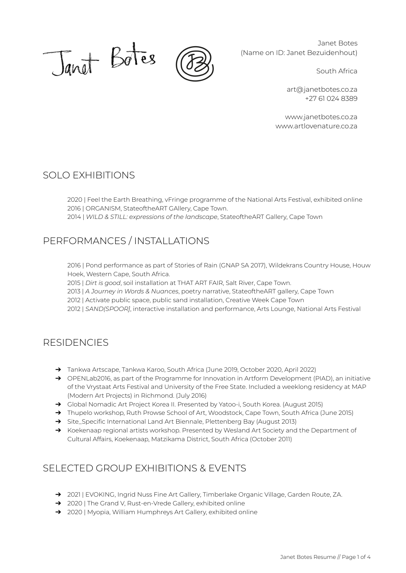

Janet Botes (Name on ID: Janet Bezuidenhout)

South Africa

[art@janetbotes.co.za](mailto:art@janetbotes.co.za) +27 61 024 8389

[www.janetbotes.co.za](http://www.janetbotes.co.za) [www.artlovenature.co.za](http://www.artlovenature.co.za)

### SOLO EXHIBITIONS

2020 | Feel the Earth Breathing, vFringe programme of the National Arts Festival, exhibited online 2016 | ORGANISM, StateoftheART GAllery, Cape Town.

2014 | *WILD & STILL: expressions of the landscape*, StateoftheART Gallery, Cape Town

## PERFORMANCES / INSTALLATIONS

2016 | Pond performance as part of Stories of Rain (GNAP SA 2017), Wildekrans Country House, Houw Hoek, Western Cape, South Africa.

2015 | *Dirt is good*, soil installation at THAT ART FAIR, Salt River, Cape Town.

2013 | *A Journey in Words & Nuances*, poetry narrative, StateoftheART gallery, Cape Town

2012 | Activate public space, public sand installation, Creative Week Cape Town

2012 | *SAND(SPOOR]*, interactive installation and performance, Arts Lounge, National Arts Festival

#### RESIDENCIES

- ➔ Tankwa Artscape, Tankwa Karoo, South Africa (June 2019, October 2020, April 2022)
- → OPENLab2016, as part of the Programme for Innovation in Artform Development (PIAD), an initiative of the Vrystaat Arts Festival and University of the Free State. Included a weeklong residency at MAP (Modern Art Projects) in Richmond. (July 2016)
- → Global Nomadic Art Project Korea II. Presented by Yatoo-i, South Korea. (August 2015)
- → Thupelo workshop, Ruth Prowse School of Art, Woodstock, Cape Town, South Africa (June 2015)
- ➔ Site\_Specific International Land Art Biennale, Plettenberg Bay (August 2013)
- → Koekenaap regional artists workshop. Presented by Wesland Art Society and the Department of Cultural Affairs, Koekenaap, Matzikama District, South Africa (October 2011)

### SELECTED GROUP EXHIBITIONS & EVENTS

- → 2021 | EVOKING, Ingrid Nuss Fine Art Gallery, Timberlake Organic Village, Garden Route, ZA.
- ➔ 2020 | The Grand V, Rust-en-Vrede Gallery, exhibited online
- ➔ 2020 | Myopia, William Humphreys Art Gallery, exhibited online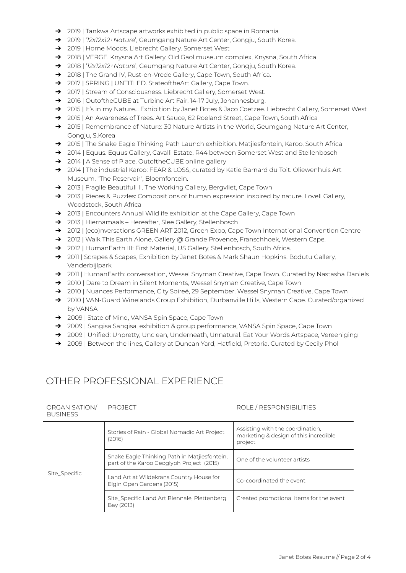- ➔ 2019 | Tankwa Artscape artworks exhibited in public space in Romania
- ➔ 2019 | '*12x12x12+Nature*', Geumgang Nature Art Center, Gongju, South Korea.
- ➔ 2019 | Home Moods. Liebrecht Gallery. Somerset West
- → 2018 | VERGE. Knysna Art Gallery, Old Gaol museum complex, Knysna, South Africa
- → 2018 | '*12x12x12+Nature*', Geumgang Nature Art Center, Gongju, South Korea.
- → 2018 | The Grand IV, Rust-en-Vrede Gallery, Cape Town, South Africa.
- → 2017 | SPRING | UNTITLED. StateoftheArt Gallery, Cape Town.
- → 2017 | Stream of Consciousness. Liebrecht Gallery, Somerset West.
- → 2016 | OutoftheCUBE at Turbine Art Fair, 14-17 July, Johannesburg.
- → 2015 | It's in my Nature... Exhibition by Janet Botes & Jaco Coetzee. Liebrecht Gallery, Somerset West
- → 2015 | An Awareness of Trees. Art Sauce, 62 Roeland Street, Cape Town, South Africa
- → 2015 | Remembrance of Nature: 30 Nature Artists in the World, Geumgang Nature Art Center, Gongju, S.Korea
- → 2015 | The Snake Eagle Thinking Path Launch exhibition. Matjiesfontein, Karoo, South Africa
- → 2014 | Equus. Equus Gallery, Cavalli Estate, R44 between Somerset West and Stellenbosch
- ➔ 2014 | A Sense of Place. OutoftheCUBE online gallery
- → 2014 | The industrial Karoo: FEAR & LOSS, curated by Katie Barnard du Toit. Oliewenhuis Art Museum, "The Reservoir", Bloemfontein.
- → 2013 | Fragile Beautifull II. The Working Gallery, Bergvliet, Cape Town
- → 2013 | Pieces & Puzzles: Compositions of human expression inspired by nature. Lovell Gallery, Woodstock, South Africa
- → 2013 | Encounters Annual Wildlife exhibition at the Cape Gallery, Cape Town
- ➔ 2013 | Hiernamaals Hereafter, Slee Gallery, Stellenbosch
- → 2012 | (eco)nversations GREEN ART 2012, Green Expo, Cape Town International Convention Centre
- → 2012 | Walk This Earth Alone, Gallery @ Grande Provence, Franschhoek, Western Cape.
- → 2012 | HumanEarth III: First Material, US Gallery, Stellenbosch, South Africa.
- → 2011 | Scrapes & Scapes, Exhibition by Janet Botes & Mark Shaun Hopkins. Bodutu Gallery, Vanderbijlpark
- → 2011 | HumanEarth: conversation, Wessel Snyman Creative, Cape Town. Curated by Nastasha Daniels
- → 2010 | Dare to Dream in Silent Moments, Wessel Snyman Creative, Cape Town
- → 2010 | Nuances Performance, City Soireé, 29 September. Wessel Snyman Creative, Cape Town
- → 2010 | VAN-Guard Winelands Group Exhibition, Durbanville Hills, Western Cape. Curated/organized by VANSA
- ➔ 2009 | State of Mind, VANSA Spin Space, Cape Town
- → 2009 | Sangisa Sangisa, exhibition & group performance, VANSA Spin Space, Cape Town
- → 2009 | Unified: Unpretty, Unclean, Underneath, Unnatural. Eat Your Words Artspace, Vereeniging
- → 2009 | Between the lines, Gallery at Duncan Yard, Hatfield, Pretoria. Curated by Cecily Phol

## OTHER PROFESSIONAL EXPERIENCE

| ORGANISATION/<br><b>BUSINESS</b> | PROJECT                                                                                   | ROLE / RESPONSIBILITIES                                                              |
|----------------------------------|-------------------------------------------------------------------------------------------|--------------------------------------------------------------------------------------|
| Site_Specific                    | Stories of Rain - Global Nomadic Art Project<br>(2016)                                    | Assisting with the coordination.<br>marketing & design of this incredible<br>project |
|                                  | Snake Eagle Thinking Path in Matjiesfontein.<br>part of the Karoo Geoglyph Project (2015) | One of the volunteer artists                                                         |
|                                  | Land Art at Wildekrans Country House for<br>Elgin Open Gardens (2015)                     | Co-coordinated the event                                                             |
|                                  | Site_Specific Land Art Biennale, Plettenberg<br>Bay (2013)                                | Created promotional items for the event                                              |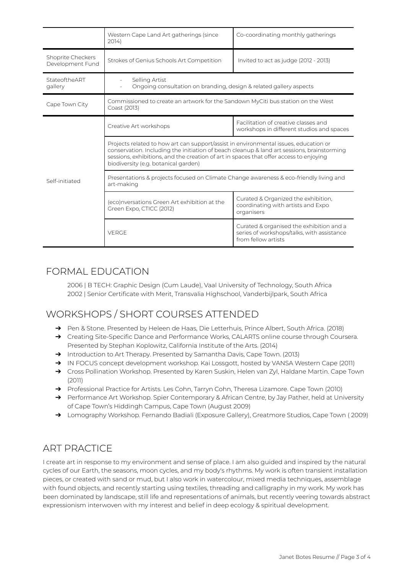|                                       | Western Cape Land Art gatherings (since<br>2014)                                                                                                                                                                                                                                                                     | Co-coordinating monthly gatherings                                                                            |
|---------------------------------------|----------------------------------------------------------------------------------------------------------------------------------------------------------------------------------------------------------------------------------------------------------------------------------------------------------------------|---------------------------------------------------------------------------------------------------------------|
| Shoprite Checkers<br>Development Fund | Strokes of Genius Schools Art Competition                                                                                                                                                                                                                                                                            | Invited to act as judge (2012 - 2013)                                                                         |
| StateoftheART<br>gallery              | Selling Artist<br>Ongoing consultation on branding, design & related gallery aspects                                                                                                                                                                                                                                 |                                                                                                               |
| Cape Town City                        | Commissioned to create an artwork for the Sandown MyCiti bus station on the West<br>Coast (2013)                                                                                                                                                                                                                     |                                                                                                               |
| Self-initiated                        | Creative Art workshops                                                                                                                                                                                                                                                                                               | Facilitation of creative classes and<br>workshops in different studios and spaces                             |
|                                       | Projects related to how art can support/assist in environmental issues, education or<br>conservation. Including the initiation of beach cleanup & land art sessions, brainstorming<br>sessions, exhibitions, and the creation of art in spaces that offer access to enjoying<br>biodiversity (e.g. botanical garden) |                                                                                                               |
|                                       | Presentations & projects focused on Climate Change awareness & eco-friendly living and<br>art-making                                                                                                                                                                                                                 |                                                                                                               |
|                                       | (eco)nversations Green Art exhibition at the<br>Green Expo, CTICC (2012)                                                                                                                                                                                                                                             | Curated & Organized the exhibition,<br>coordinating with artists and Expo<br>organisers                       |
|                                       | <b>VERGE</b>                                                                                                                                                                                                                                                                                                         | Curated & organised the exhibition and a<br>series of workshops/talks, with assistance<br>from fellow artists |

### FORMAL EDUCATION

2006 | B TECH: Graphic Design (Cum Laude), Vaal University of Technology, South Africa 2002 | Senior Certificate with Merit, Transvalia Highschool, Vanderbijlpark, South Africa

# WORKSHOPS / SHORT COURSES ATTENDED

- → Pen & Stone. Presented by Heleen de Haas, Die Letterhuis, Prince Albert, South Africa. (2018)
- → Creating Site-Specific Dance and Performance Works, CALARTS online course through Coursera. Presented by Stephan Koplowitz, California Institute of the Arts. (2014)
- → Introduction to Art Therapy. Presented by Samantha Davis, Cape Town. (2013)
- → IN FOCUS concept development workshop. Kai Lossgott, hosted by VANSA Western Cape (2011)
- → Cross Pollination Workshop. Presented by Karen Suskin, Helen van Zyl, Haldane Martin. Cape Town (2011)
- → Professional Practice for Artists. Les Cohn, Tarryn Cohn, Theresa Lizamore. Cape Town (2010)
- → Performance Art Workshop. Spier Contemporary & African Centre, by Jay Pather, held at University of Cape Town's Hiddingh Campus, Cape Town (August 2009)
- ➔ Lomography Workshop. Fernando Badiali (Exposure Gallery), Greatmore Studios, Cape Town ( 2009)

## ART PRACTICE

I create art in response to my environment and sense of place. I am also guided and inspired by the natural cycles of our Earth, the seasons, moon cycles, and my body's rhythms. My work is often transient installation pieces, or created with sand or mud, but I also work in watercolour, mixed media techniques, assemblage with found objects, and recently starting using textiles, threading and calligraphy in my work. My work has been dominated by landscape, still life and representations of animals, but recently veering towards abstract expressionism interwoven with my interest and belief in deep ecology & spiritual development.